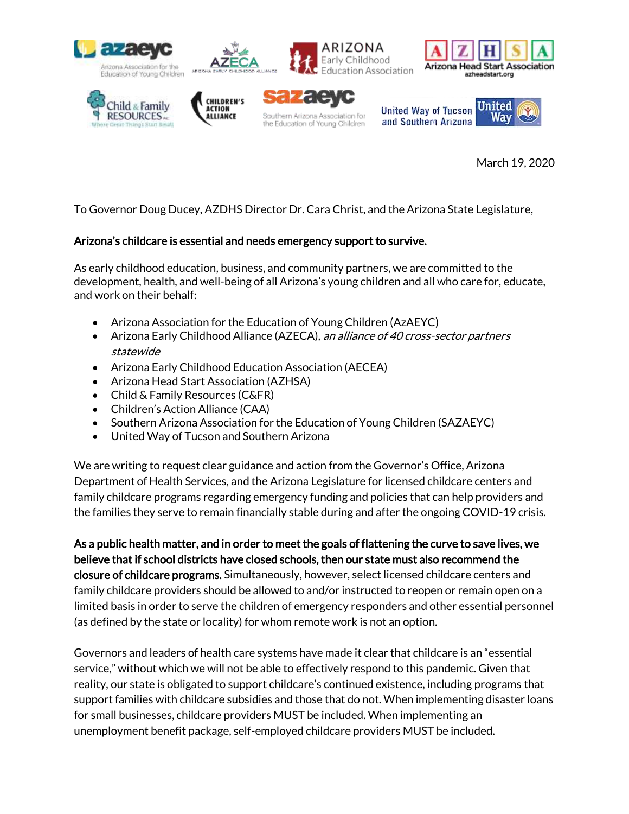









**United Way of Tucson** and Southern Arizona



March 19, 2020

To Governor Doug Ducey, AZDHS Director Dr. Cara Christ, and the Arizona State Legislature,

Southern Arizona Association for

the Education of Young Children

# Arizona's childcare is essential and needs emergency support to survive.

As early childhood education, business, and community partners, we are committed to the development, health, and well-being of all Arizona's young children and all who care for, educate, and work on their behalf:

- Arizona Association for the Education of Young Children (AzAEYC)
- Arizona Early Childhood Alliance (AZECA), an alliance of 40 cross-sector partners statewide
- Arizona Early Childhood Education Association (AECEA)
- Arizona Head Start Association (AZHSA)
- Child & Family Resources (C&FR)
- Children's Action Alliance (CAA)
- Southern Arizona Association for the Education of Young Children (SAZAEYC)
- United Way of Tucson and Southern Arizona

We are writing to request clear guidance and action from the Governor's Office, Arizona Department of Health Services, and the Arizona Legislature for licensed childcare centers and family childcare programs regarding emergency funding and policies that can help providers and the families they serve to remain financially stable during and after the ongoing COVID-19 crisis.

As a public health matter, and in order to meet the goals of flattening the curve to save lives, we believe that if school districts have closed schools, then our state must also recommend the closure of childcare programs. Simultaneously, however, select licensed childcare centers and family childcare providers should be allowed to and/or instructed to reopen or remain open on a limited basis in order to serve the children of emergency responders and other essential personnel (as defined by the state or locality) for whom remote work is not an option.

Governors and leaders of health care systems have made it clear that childcare is an "essential service," without which we will not be able to effectively respond to this pandemic. Given that reality, our state is obligated to support childcare's continued existence, including programs that support families with childcare subsidies and those that do not. When implementing disaster loans for small businesses, childcare providers MUST be included. When implementing an unemployment benefit package, self-employed childcare providers MUST be included.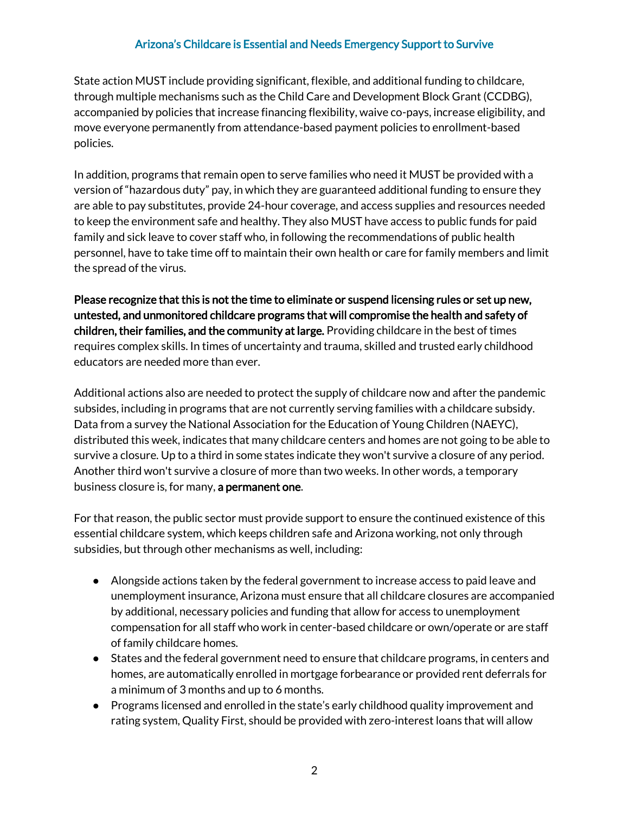### Arizona's Childcare is Essential and Needs Emergency Support to Survive

State action MUST include providing significant, flexible, and additional funding to childcare, through multiple mechanisms such as the Child Care and Development Block Grant (CCDBG), accompanied by policies that increase financing flexibility, waive co-pays, increase eligibility, and move everyone permanently from attendance-based payment policies to enrollment-based policies.

In addition, programs that remain open to serve families who need it MUST be provided with a version of "hazardous duty" pay, in which they are guaranteed additional funding to ensure they are able to pay substitutes, provide 24-hour coverage, and access supplies and resources needed to keep the environment safe and healthy. They also MUST have access to public funds for paid family and sick leave to cover staff who, in following the recommendations of public health personnel, have to take time off to maintain their own health or care for family members and limit the spread of the virus.

Please recognize that this is not the time to eliminate or suspend licensing rules or set up new, untested, and unmonitored childcare programs that will compromise the health and safety of children, their families, and the community at large. Providing childcare in the best of times requires complex skills. In times of uncertainty and trauma, skilled and trusted early childhood educators are needed more than ever.

Additional actions also are needed to protect the supply of childcare now and after the pandemic subsides, including in programs that are not currently serving families with a childcare subsidy. Data from a survey the National Association for the Education of Young Children (NAEYC), distributed this week, indicates that many childcare centers and homes are not going to be able to survive a closure. Up to a third in some states indicate they won't survive a closure of any period. Another third won't survive a closure of more than two weeks. In other words, a temporary business closure is, for many, a permanent one.

For that reason, the public sector must provide support to ensure the continued existence of this essential childcare system, which keeps children safe and Arizona working, not only through subsidies, but through other mechanisms as well, including:

- Alongside actions taken by the federal government to increase access to paid leave and unemployment insurance, Arizona must ensure that all childcare closures are accompanied by additional, necessary policies and funding that allow for access to unemployment compensation for all staff who work in center-based childcare or own/operate or are staff of family childcare homes.
- States and the federal government need to ensure that childcare programs, in centers and homes, are automatically enrolled in mortgage forbearance or provided rent deferrals for a minimum of 3 months and up to 6 months.
- Programs licensed and enrolled in the state's early childhood quality improvement and rating system, Quality First, should be provided with zero-interest loans that will allow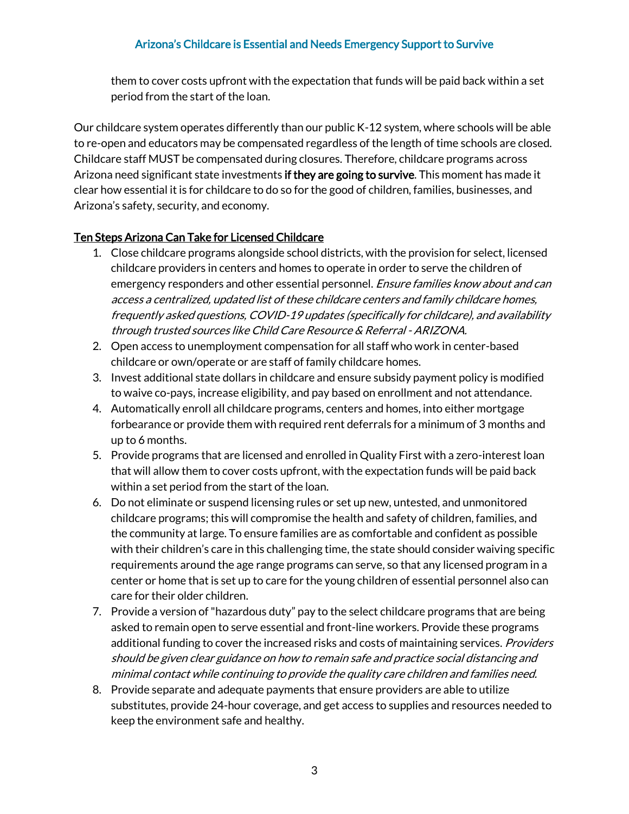## Arizona's Childcare is Essential and Needs Emergency Support to Survive

them to cover costs upfront with the expectation that funds will be paid back within a set period from the start of the loan.

Our childcare system operates differently than our public K-12 system, where schools will be able to re-open and educators may be compensated regardless of the length of time schools are closed. Childcare staff MUST be compensated during closures. Therefore, childcare programs across Arizona need significant state investments if they are going to survive. This moment has made it clear how essential it is for childcare to do so for the good of children, families, businesses, and Arizona's safety, security, and economy.

### Ten Steps Arizona Can Take for Licensed Childcare

- 1. Close childcare programs alongside school districts, with the provision for select, licensed childcare providers in centers and homes to operate in order to serve the children of emergency responders and other essential personnel. *Ensure families know about and can* access a centralized, updated list of these childcare centers and family childcare homes, frequently asked questions, COVID-19 updates (specifically for childcare), and availability through trusted sources like Child Care Resource & Referral - ARIZONA.
- 2. Open access to unemployment compensation for all staff who work in center-based childcare or own/operate or are staff of family childcare homes.
- 3. Invest additional state dollars in childcare and ensure subsidy payment policy is modified to waive co-pays, increase eligibility, and pay based on enrollment and not attendance.
- 4. Automatically enroll all childcare programs, centers and homes, into either mortgage forbearance or provide them with required rent deferrals for a minimum of 3 months and up to 6 months.
- 5. Provide programs that are licensed and enrolled in Quality First with a zero-interest loan that will allow them to cover costs upfront, with the expectation funds will be paid back within a set period from the start of the loan.
- 6. Do not eliminate or suspend licensing rules or set up new, untested, and unmonitored childcare programs; this will compromise the health and safety of children, families, and the community at large. To ensure families are as comfortable and confident as possible with their children's care in this challenging time, the state should consider waiving specific requirements around the age range programs can serve, so that any licensed program in a center or home that is set up to care for the young children of essential personnel also can care for their older children.
- 7. Provide a version of "hazardous duty" pay to the select childcare programs that are being asked to remain open to serve essential and front-line workers. Provide these programs additional funding to cover the increased risks and costs of maintaining services. *Providers* should be given clear guidance on how to remain safe and practice social distancing and minimal contact while continuing to provide the quality care children and families need.
- 8. Provide separate and adequate payments that ensure providers are able to utilize substitutes, provide 24-hour coverage, and get access to supplies and resources needed to keep the environment safe and healthy.